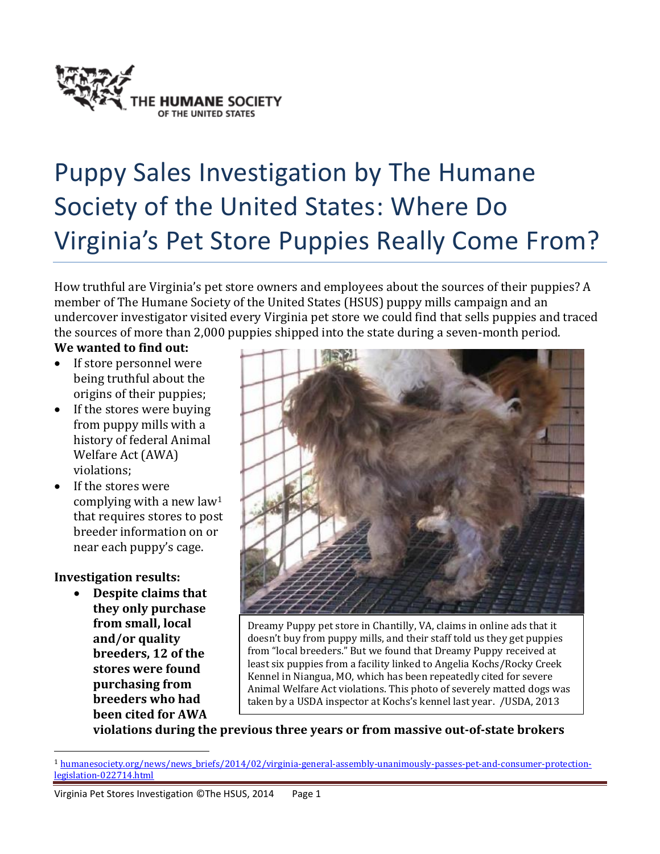

# Puppy Sales Investigation by The Humane Society of the United States: Where Do Virginia's Pet Store Puppies Really Come From?

How truthful are Virginia's pet store owners and employees about the sources of their puppies? A member of The Humane Society of the United States (HSUS) puppy mills campaign and an undercover investigator visited every Virginia pet store we could find that sells puppies and traced the sources of more than 2,000 puppies shipped into the state during a seven-month period.

**We wanted to find out:**

- If store personnel were being truthful about the origins of their puppies;
- If the stores were buying from puppy mills with a history of federal Animal Welfare Act (AWA) violations;
- If the stores were complying with a new law<sup>1</sup> that requires stores to post breeder information on or near each puppy's cage.

#### **Investigation results:**

l

 **Despite claims that they only purchase from small, local and/or quality breeders, 12 of the stores were found purchasing from breeders who had been cited for AWA**



Dreamy Puppy pet store in Chantilly, VA, claims in online ads that it doesn't buy from puppy mills, and their staff told us they get puppies from "local breeders." But we found that Dreamy Puppy received at least six puppies from a facility linked to Angelia Kochs/Rocky Creek Kennel in Niangua, MO, which has been repeatedly cited for severe Animal Welfare Act violations. This photo of severely matted dogs was taken by a USDA inspector at Kochs's kennel last year. /USDA, 2013

**violations during the previous three years or from massive out-of-state brokers** 

<sup>&</sup>lt;sup>1</sup> humanesociety.org/news/news briefs/2014/02/virginia-general-assembly-unanimously-passes-pet-and-consumer-protection[legislation-022714.html](http://www.humanesociety.org/news/news_briefs/2014/02/virginia-general-assembly-unanimously-passes-pet-and-consumer-protection-legislation-022714.html)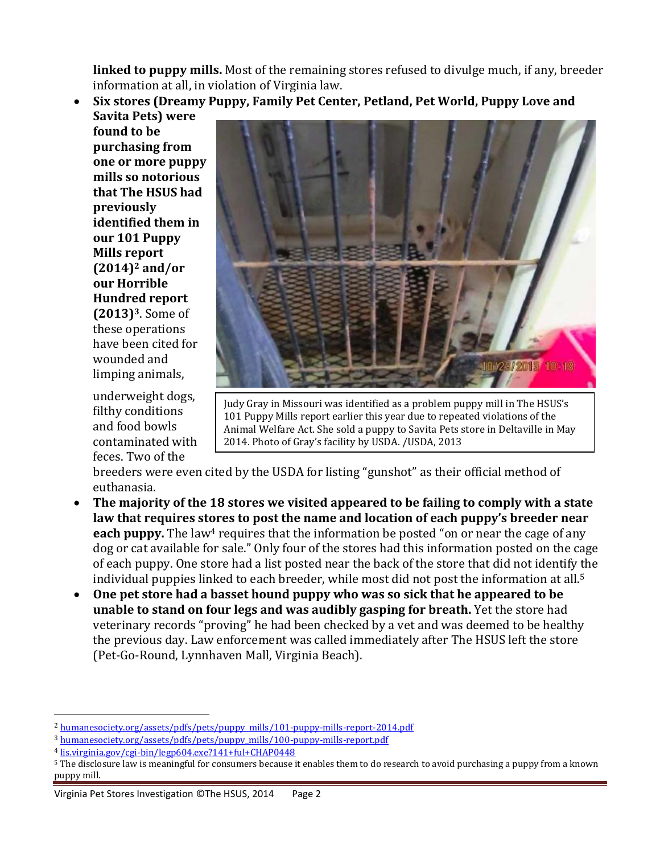**linked to puppy mills.** Most of the remaining stores refused to divulge much, if any, breeder information at all, in violation of Virginia law.

 **Six stores (Dreamy Puppy, Family Pet Center, Petland, Pet World, Puppy Love and Savita Pets) were** 

**found to be purchasing from one or more puppy mills so notorious that The HSUS had previously identified them in our 101 Puppy Mills report (2014)<sup>2</sup> and/or our Horrible Hundred report (2013)3**. Some of these operations have been cited for wounded and limping animals,

underweight dogs, filthy conditions and food bowls contaminated with feces. Two of the



Judy Gray in Missouri was identified as a problem puppy mill in The HSUS's 101 Puppy Mills report earlier this year due to repeated violations of the Animal Welfare Act. She sold a puppy to Savita Pets store in Deltaville in May 2014. Photo of Gray's facility by USDA. /USDA, 2013

breeders were even cited by the USDA for listing "gunshot" as their official method of euthanasia.

- **The majority of the 18 stores we visited appeared to be failing to comply with a state law that requires stores to post the name and location of each puppy's breeder near each puppy.** The law<sup>4</sup> requires that the information be posted "on or near the cage of any dog or cat available for sale." Only four of the stores had this information posted on the cage of each puppy. One store had a list posted near the back of the store that did not identify the individual puppies linked to each breeder, while most did not post the information at all. 5
- **One pet store had a basset hound puppy who was so sick that he appeared to be unable to stand on four legs and was audibly gasping for breath.** Yet the store had veterinary records "proving" he had been checked by a vet and was deemed to be healthy the previous day. Law enforcement was called immediately after The HSUS left the store (Pet-Go-Round, Lynnhaven Mall, Virginia Beach).

<sup>3</sup> [humanesociety.org/assets/pdfs/pets/puppy\\_mills/100-puppy-mills-report.pdf](http://www.humanesociety.org/assets/pdfs/pets/puppy_mills/100-puppy-mills-report.pdf)

 $\overline{a}$ 

<sup>&</sup>lt;sup>2</sup> [humanesociety.org/assets/pdfs/pets/puppy\\_mills/101-puppy-mills-report-2014.pdf](http://www.humanesociety.org/assets/pdfs/pets/puppy_mills/101-puppy-mills-report-2014.pdf)

<sup>4</sup> [lis.virginia.gov/cgi-bin/legp604.exe?141+ful+CHAP0448](http://lis.virginia.gov/cgi-bin/legp604.exe?141+ful+CHAP0448)

<sup>5</sup> The disclosure law is meaningful for consumers because it enables them to do research to avoid purchasing a puppy from a known puppy mill.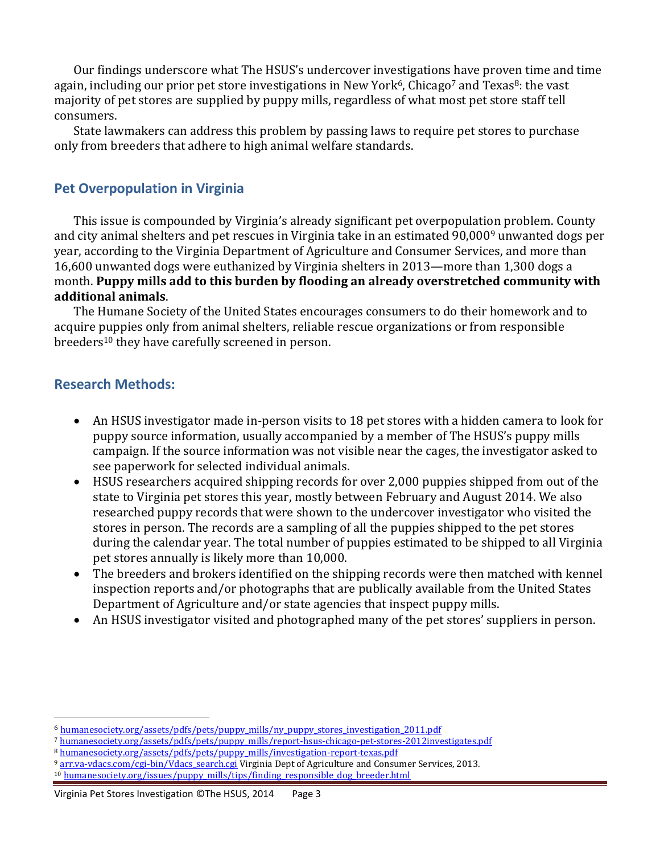Our findings underscore what The HSUS's undercover investigations have proven time and time again, including our prior pet store investigations in New York<sup>6</sup>, Chicago<sup>7</sup> and Texas<sup>8</sup>: the vast majority of pet stores are supplied by puppy mills, regardless of what most pet store staff tell consumers.

State lawmakers can address this problem by passing laws to require pet stores to purchase only from breeders that adhere to high animal welfare standards.

#### **Pet Overpopulation in Virginia**

This issue is compounded by Virginia's already significant pet overpopulation problem. County and city animal shelters and pet rescues in Virginia take in an estimated 90,000<sup>9</sup> unwanted dogs per year, according to the Virginia Department of Agriculture and Consumer Services, and more than 16,600 unwanted dogs were euthanized by Virginia shelters in 2013—more than 1,300 dogs a month. **Puppy mills add to this burden by flooding an already overstretched community with additional animals**.

The Humane Society of the United States encourages consumers to do their homework and to acquire puppies only from animal shelters, reliable rescue organizations or from responsible breeders<sup>10</sup> they have carefully screened in person.

#### **Research Methods:**

l

- An HSUS investigator made in-person visits to 18 pet stores with a hidden camera to look for puppy source information, usually accompanied by a member of The HSUS's puppy mills campaign. If the source information was not visible near the cages, the investigator asked to see paperwork for selected individual animals.
- HSUS researchers acquired shipping records for over 2,000 puppies shipped from out of the state to Virginia pet stores this year, mostly between February and August 2014. We also researched puppy records that were shown to the undercover investigator who visited the stores in person. The records are a sampling of all the puppies shipped to the pet stores during the calendar year. The total number of puppies estimated to be shipped to all Virginia pet stores annually is likely more than 10,000.
- The breeders and brokers identified on the shipping records were then matched with kennel inspection reports and/or photographs that are publically available from the United States Department of Agriculture and/or state agencies that inspect puppy mills.
- An HSUS investigator visited and photographed many of the pet stores' suppliers in person.

<sup>&</sup>lt;sup>6</sup> [humanesociety.org/assets/pdfs/pets/puppy\\_mills/ny\\_puppy\\_stores\\_investigation\\_2011.pdf](http://www.humanesociety.org/assets/pdfs/pets/puppy_mills/ny_puppy_stores_investigation_2011.pdf)

<sup>7</sup> [humanesociety.org/assets/pdfs/pets/puppy\\_mills/report-hsus-chicago-pet-stores-2012investigates.pdf](http://www.humanesociety.org/assets/pdfs/pets/puppy_mills/report-hsus-chicago-pet-stores-2012investigates.pdf)

<sup>8</sup> [humanesociety.org/assets/pdfs/pets/puppy\\_mills/investigation-report-texas.pdf](http://www.humanesociety.org/assets/pdfs/pets/puppy_mills/investigation-report-texas.pdf)

<sup>&</sup>lt;sup>9</sup> arr.va-vdacs.com/cgi-bin/Vdacs search.cgi Virginia Dept of Agriculture and Consumer Services, 2013.

<sup>&</sup>lt;sup>10</sup> [humanesociety.org/issues/puppy\\_mills/tips/finding\\_responsible\\_dog\\_breeder.html](http://www.humanesociety.org/issues/puppy_mills/tips/finding_responsible_dog_breeder.html)

Virginia Pet Stores Investigation ©The HSUS, 2014 Page 3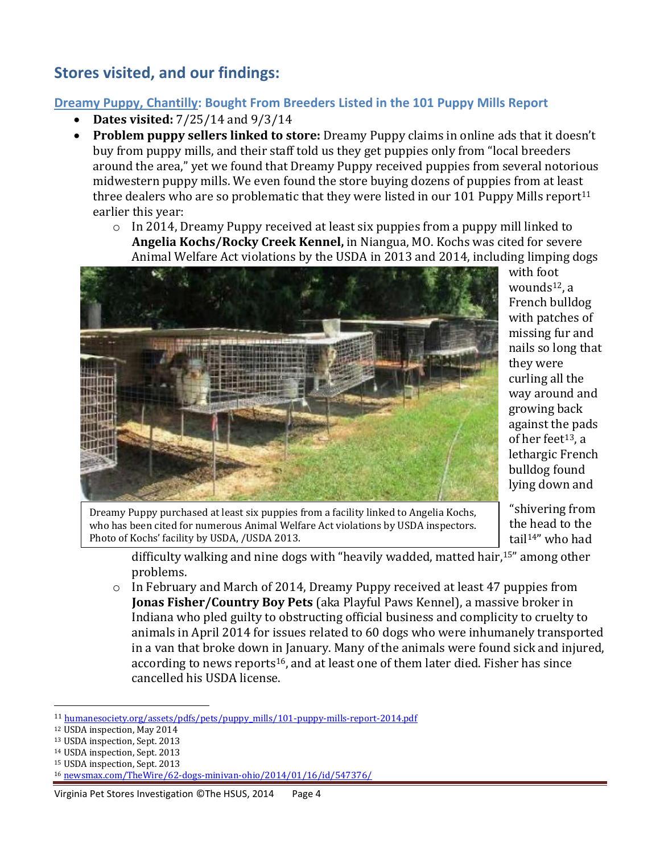## **Stores visited, and our findings:**

#### **Dreamy Puppy, Chantilly: Bought From Breeders Listed in the 101 Puppy Mills Report**

- **Dates visited:** 7/25/14 and 9/3/14
- **Problem puppy sellers linked to store:** Dreamy Puppy claims in online ads that it doesn't buy from puppy mills, and their staff told us they get puppies only from "local breeders around the area," yet we found that Dreamy Puppy received puppies from several notorious midwestern puppy mills. We even found the store buying dozens of puppies from at least three dealers who are so problematic that they were listed in our 101 Puppy Mills report<sup>11</sup> earlier this year:
	- $\circ$  In 2014, Dreamy Puppy received at least six puppies from a puppy mill linked to **Angelia Kochs/Rocky Creek Kennel,** in Niangua, MO. Kochs was cited for severe Animal Welfare Act violations by the USDA in 2013 and 2014, including limping dogs



with foot wounds $12$ , a French bulldog with patches of missing fur and nails so long that they were curling all the way around and growing back against the pads of her feet<sup>13</sup>, a lethargic French bulldog found lying down and

Dreamy Puppy purchased at least six puppies from a facility linked to Angelia Kochs, who has been cited for numerous Animal Welfare Act violations by USDA inspectors. Photo of Kochs' facility by USDA, /USDA 2013.

"shivering from the head to the tail14" who had

difficulty walking and nine dogs with "heavily wadded, matted hair,<sup>15</sup>" among other problems.

o In February and March of 2014, Dreamy Puppy received at least 47 puppies from **Jonas Fisher/Country Boy Pets** (aka Playful Paws Kennel), a massive broker in Indiana who pled guilty to obstructing official business and complicity to cruelty to animals in April 2014 for issues related to 60 dogs who were inhumanely transported in a van that broke down in January. Many of the animals were found sick and injured, according to news reports<sup>16</sup>, and at least one of them later died. Fisher has since cancelled his USDA license.

- <sup>14</sup> USDA inspection, Sept. 2013
- <sup>15</sup> USDA inspection, Sept. 2013

#### Virginia Pet Stores Investigation ©The HSUS, 2014 Page 4

 $\overline{a}$ <sup>11</sup> [humanesociety.org/assets/pdfs/pets/puppy\\_mills/101-puppy-mills-report-2014.pdf](http://www.humanesociety.org/assets/pdfs/pets/puppy_mills/101-puppy-mills-report-2014.pdf)

<sup>12</sup> USDA inspection, May 2014

<sup>13</sup> USDA inspection, Sept. 2013

<sup>16</sup> [newsmax.com/TheWire/62-dogs-minivan-ohio/2014/01/16/id/547376/](http://www.newsmax.com/TheWire/62-dogs-minivan-ohio/2014/01/16/id/547376/)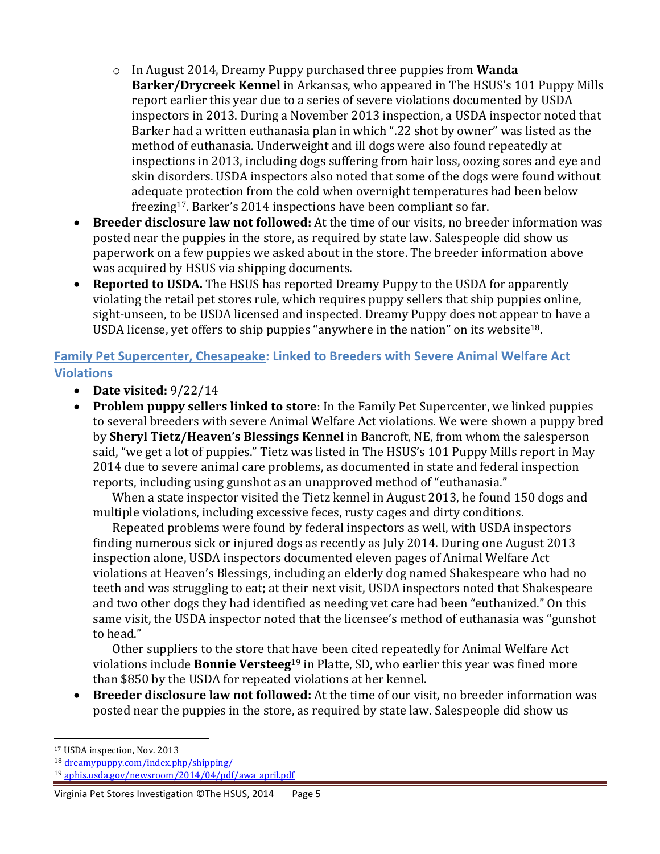- o In August 2014, Dreamy Puppy purchased three puppies from **Wanda Barker/Drycreek Kennel** in Arkansas, who appeared in The HSUS's 101 Puppy Mills report earlier this year due to a series of severe violations documented by USDA inspectors in 2013. During a November 2013 inspection, a USDA inspector noted that Barker had a written euthanasia plan in which ".22 shot by owner" was listed as the method of euthanasia. Underweight and ill dogs were also found repeatedly at inspections in 2013, including dogs suffering from hair loss, oozing sores and eye and skin disorders. USDA inspectors also noted that some of the dogs were found without adequate protection from the cold when overnight temperatures had been below freezing17. Barker's 2014 inspections have been compliant so far.
- **Breeder disclosure law not followed:** At the time of our visits, no breeder information was posted near the puppies in the store, as required by state law. Salespeople did show us paperwork on a few puppies we asked about in the store. The breeder information above was acquired by HSUS via shipping documents.
- **Reported to USDA.** The HSUS has reported Dreamy Puppy to the USDA for apparently violating the retail pet stores rule, which requires puppy sellers that ship puppies online, sight-unseen, to be USDA licensed and inspected. Dreamy Puppy does not appear to have a USDA license, yet offers to ship puppies "anywhere in the nation" on its website18.

#### **Family Pet Supercenter, Chesapeake: Linked to Breeders with Severe Animal Welfare Act Violations**

- **Date visited:** 9/22/14
- **Problem puppy sellers linked to store**: In the Family Pet Supercenter, we linked puppies to several breeders with severe Animal Welfare Act violations. We were shown a puppy bred by **Sheryl Tietz/Heaven's Blessings Kennel** in Bancroft, NE, from whom the salesperson said, "we get a lot of puppies." Tietz was listed in The HSUS's 101 Puppy Mills report in May 2014 due to severe animal care problems, as documented in state and federal inspection reports, including using gunshot as an unapproved method of "euthanasia."

When a state inspector visited the Tietz kennel in August 2013, he found 150 dogs and multiple violations, including excessive feces, rusty cages and dirty conditions.

Repeated problems were found by federal inspectors as well, with USDA inspectors finding numerous sick or injured dogs as recently as July 2014. During one August 2013 inspection alone, USDA inspectors documented eleven pages of Animal Welfare Act violations at Heaven's Blessings, including an elderly dog named Shakespeare who had no teeth and was struggling to eat; at their next visit, USDA inspectors noted that Shakespeare and two other dogs they had identified as needing vet care had been "euthanized." On this same visit, the USDA inspector noted that the licensee's method of euthanasia was "gunshot to head."

Other suppliers to the store that have been cited repeatedly for Animal Welfare Act violations include **Bonnie Versteeg**<sup>19</sup> in Platte, SD, who earlier this year was fined more than \$850 by the USDA for repeated violations at her kennel.

 **Breeder disclosure law not followed:** At the time of our visit, no breeder information was posted near the puppies in the store, as required by state law. Salespeople did show us

l <sup>17</sup> USDA inspection, Nov. 2013

<sup>18</sup> [dreamypuppy.com/index.php/shipping/](http://www.dreamypuppy.com/index.php/shipping/)

<sup>19</sup> [aphis.usda.gov/newsroom/2014/04/pdf/awa\\_april.pdf](http://www.aphis.usda.gov/newsroom/2014/04/pdf/awa_april.pdf)

Virginia Pet Stores Investigation ©The HSUS, 2014 Page 5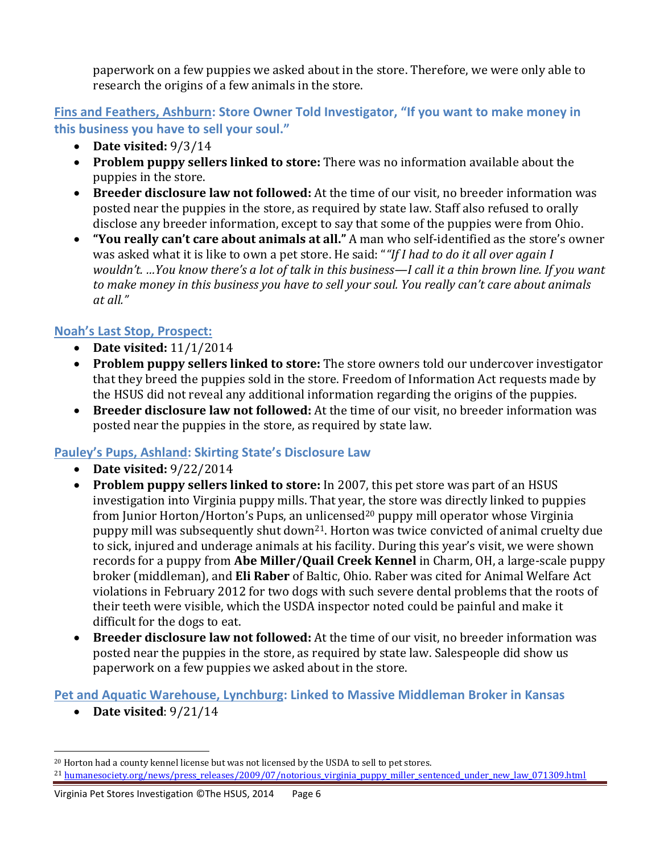paperwork on a few puppies we asked about in the store. Therefore, we were only able to research the origins of a few animals in the store.

**Fins and Feathers, Ashburn: Store Owner Told Investigator, "If you want to make money in this business you have to sell your soul."**

- **Date visited:** 9/3/14
- **Problem puppy sellers linked to store:** There was no information available about the puppies in the store.
- **Breeder disclosure law not followed:** At the time of our visit, no breeder information was posted near the puppies in the store, as required by state law. Staff also refused to orally disclose any breeder information, except to say that some of the puppies were from Ohio.
- **"You really can't care about animals at all."** A man who self-identified as the store's owner was asked what it is like to own a pet store. He said: "*"If I had to do it all over again I wouldn't. …You know there's a lot of talk in this business—I call it a thin brown line. If you want to make money in this business you have to sell your soul. You really can't care about animals at all."*

### **Noah's Last Stop, Prospect:**

- **Date visited:** 11/1/2014
- **Problem puppy sellers linked to store:** The store owners told our undercover investigator that they breed the puppies sold in the store. Freedom of Information Act requests made by the HSUS did not reveal any additional information regarding the origins of the puppies.
- **Breeder disclosure law not followed:** At the time of our visit, no breeder information was posted near the puppies in the store, as required by state law.

#### **Pauley's Pups, Ashland: Skirting State's Disclosure Law**

- **Date visited:** 9/22/2014
- **Problem puppy sellers linked to store:** In 2007, this pet store was part of an HSUS investigation into Virginia puppy mills. That year, the store was directly linked to puppies from Junior Horton/Horton's Pups, an unlicensed<sup>20</sup> puppy mill operator whose Virginia puppy mill was subsequently shut down21. Horton was twice convicted of animal cruelty due to sick, injured and underage animals at his facility. During this year's visit, we were shown records for a puppy from **Abe Miller/Quail Creek Kennel** in Charm, OH, a large-scale puppy broker (middleman), and **Eli Raber** of Baltic, Ohio. Raber was cited for Animal Welfare Act violations in February 2012 for two dogs with such severe dental problems that the roots of their teeth were visible, which the USDA inspector noted could be painful and make it difficult for the dogs to eat.
- **Breeder disclosure law not followed:** At the time of our visit, no breeder information was posted near the puppies in the store, as required by state law. Salespeople did show us paperwork on a few puppies we asked about in the store.

#### **Pet and Aquatic Warehouse, Lynchburg: Linked to Massive Middleman Broker in Kansas**

**Date visited**: 9/21/14

l

<sup>20</sup> Horton had a county kennel license but was not licensed by the USDA to sell to pet stores. <sup>21</sup> [humanesociety.org/news/press\\_releases/2009/07/notorious\\_virginia\\_puppy\\_miller\\_sentenced\\_under\\_new\\_law\\_071309.html](humanesociety.org/news/press_releases/2009/07/notorious_virginia_puppy_miller_sentenced_under_new_law_071309.html)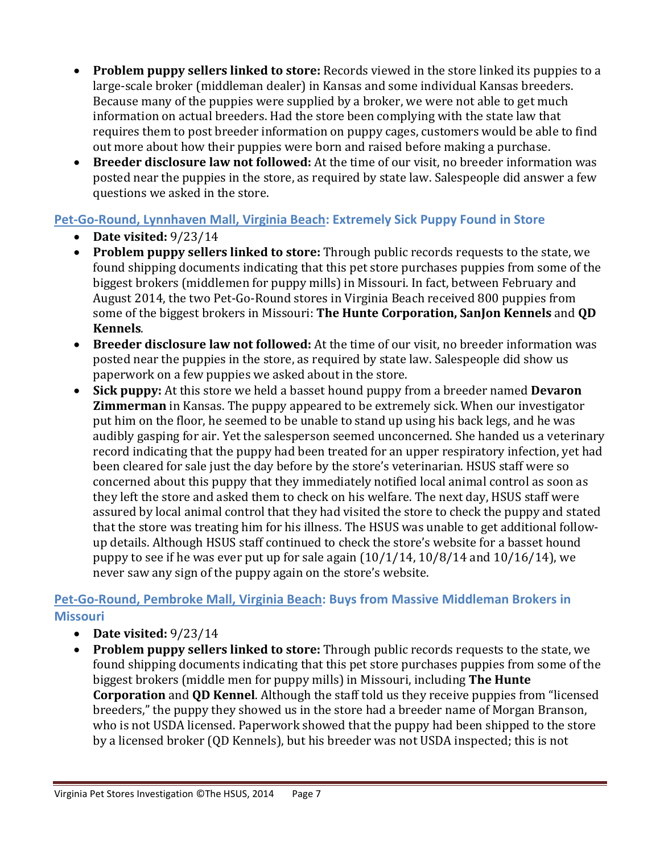- **Problem puppy sellers linked to store:** Records viewed in the store linked its puppies to a large-scale broker (middleman dealer) in Kansas and some individual Kansas breeders. Because many of the puppies were supplied by a broker, we were not able to get much information on actual breeders. Had the store been complying with the state law that requires them to post breeder information on puppy cages, customers would be able to find out more about how their puppies were born and raised before making a purchase.
- **Breeder disclosure law not followed:** At the time of our visit, no breeder information was posted near the puppies in the store, as required by state law. Salespeople did answer a few questions we asked in the store.

### **Pet-Go-Round, Lynnhaven Mall, Virginia Beach: Extremely Sick Puppy Found in Store**

- **Date visited:** 9/23/14
- **Problem puppy sellers linked to store:** Through public records requests to the state, we found shipping documents indicating that this pet store purchases puppies from some of the biggest brokers (middlemen for puppy mills) in Missouri. In fact, between February and August 2014, the two Pet-Go-Round stores in Virginia Beach received 800 puppies from some of the biggest brokers in Missouri: **The Hunte Corporation, SanJon Kennels** and **QD Kennels**.
- **Breeder disclosure law not followed:** At the time of our visit, no breeder information was posted near the puppies in the store, as required by state law. Salespeople did show us paperwork on a few puppies we asked about in the store.
- **Sick puppy:** At this store we held a basset hound puppy from a breeder named **Devaron Zimmerman** in Kansas. The puppy appeared to be extremely sick. When our investigator put him on the floor, he seemed to be unable to stand up using his back legs, and he was audibly gasping for air. Yet the salesperson seemed unconcerned. She handed us a veterinary record indicating that the puppy had been treated for an upper respiratory infection, yet had been cleared for sale just the day before by the store's veterinarian. HSUS staff were so concerned about this puppy that they immediately notified local animal control as soon as they left the store and asked them to check on his welfare. The next day, HSUS staff were assured by local animal control that they had visited the store to check the puppy and stated that the store was treating him for his illness. The HSUS was unable to get additional followup details. Although HSUS staff continued to check the store's website for a basset hound puppy to see if he was ever put up for sale again  $(10/1/14, 10/8/14$  and  $10/16/14$ ), we never saw any sign of the puppy again on the store's website.

#### **Pet-Go-Round, Pembroke Mall, Virginia Beach: Buys from Massive Middleman Brokers in Missouri**

- **Date visited:** 9/23/14
- **Problem puppy sellers linked to store:** Through public records requests to the state, we found shipping documents indicating that this pet store purchases puppies from some of the biggest brokers (middle men for puppy mills) in Missouri, including **The Hunte Corporation** and **QD Kennel**. Although the staff told us they receive puppies from "licensed breeders," the puppy they showed us in the store had a breeder name of Morgan Branson, who is not USDA licensed. Paperwork showed that the puppy had been shipped to the store by a licensed broker (QD Kennels), but his breeder was not USDA inspected; this is not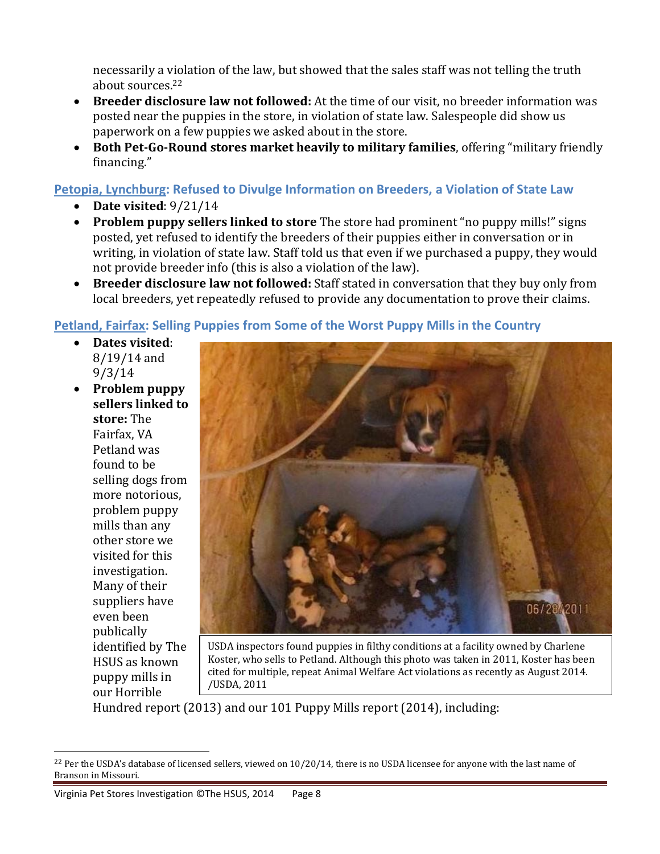necessarily a violation of the law, but showed that the sales staff was not telling the truth about sources.<sup>22</sup>

- **Breeder disclosure law not followed:** At the time of our visit, no breeder information was posted near the puppies in the store, in violation of state law. Salespeople did show us paperwork on a few puppies we asked about in the store.
- **Both Pet-Go-Round stores market heavily to military families**, offering "military friendly financing."

**Petopia, Lynchburg: Refused to Divulge Information on Breeders, a Violation of State Law**

- **Date visited**: 9/21/14
- **Problem puppy sellers linked to store** The store had prominent "no puppy mills!" signs posted, yet refused to identify the breeders of their puppies either in conversation or in writing, in violation of state law. Staff told us that even if we purchased a puppy, they would not provide breeder info (this is also a violation of the law).
- **Breeder disclosure law not followed:** Staff stated in conversation that they buy only from local breeders, yet repeatedly refused to provide any documentation to prove their claims.

#### **Petland, Fairfax: Selling Puppies from Some of the Worst Puppy Mills in the Country**

- **Dates visited**: 8/19/14 and 9/3/14
- **Problem puppy sellers linked to store:** The Fairfax, VA Petland was found to be selling dogs from more notorious, problem puppy mills than any other store we visited for this investigation. Many of their suppliers have even been publically identified by The HSUS as known puppy mills in our Horrible

l



USDA inspectors found puppies in filthy conditions at a facility owned by Charlene Koster, who sells to Petland. Although this photo was taken in 2011, Koster has been cited for multiple, repeat Animal Welfare Act violations as recently as August 2014. /USDA, 2011

Hundred report (2013) and our 101 Puppy Mills report (2014), including:

 $22$  Per the USDA's database of licensed sellers, viewed on  $10/20/14$ , there is no USDA licensee for anyone with the last name of Branson in Missouri.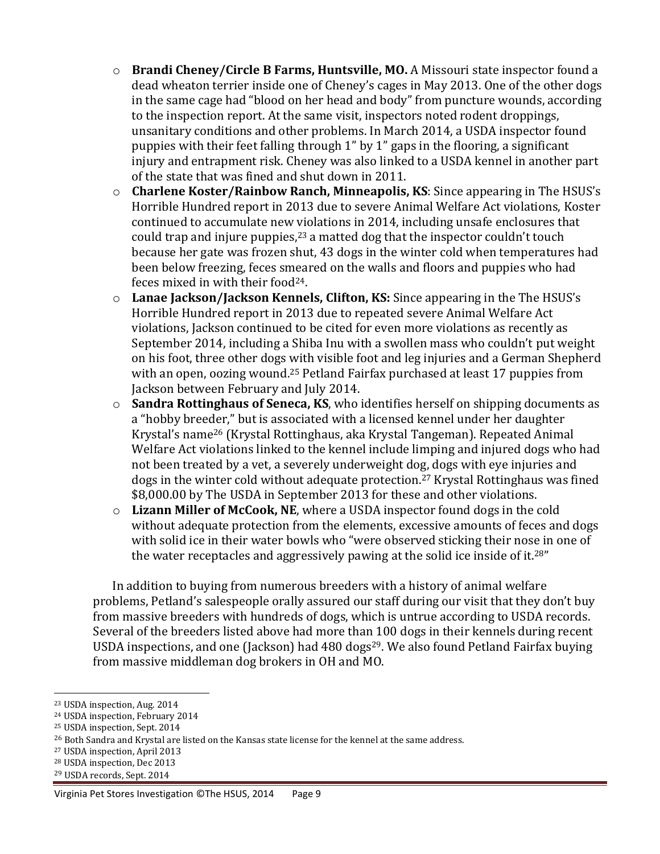- o **Brandi Cheney/Circle B Farms, Huntsville, MO.** A Missouri state inspector found a dead wheaton terrier inside one of Cheney's cages in May 2013. One of the other dogs in the same cage had "blood on her head and body" from puncture wounds, according to the inspection report. At the same visit, inspectors noted rodent droppings, unsanitary conditions and other problems. In March 2014, a USDA inspector found puppies with their feet falling through 1" by 1" gaps in the flooring, a significant injury and entrapment risk. Cheney was also linked to a USDA kennel in another part of the state that was fined and shut down in 2011.
- o **Charlene Koster/Rainbow Ranch, Minneapolis, KS**: Since appearing in The HSUS's Horrible Hundred report in 2013 due to severe Animal Welfare Act violations, Koster continued to accumulate new violations in 2014, including unsafe enclosures that could trap and injure puppies, $^{23}$  a matted dog that the inspector couldn't touch because her gate was frozen shut, 43 dogs in the winter cold when temperatures had been below freezing, feces smeared on the walls and floors and puppies who had feces mixed in with their food24.
- o **Lanae Jackson/Jackson Kennels, Clifton, KS:** Since appearing in the The HSUS's Horrible Hundred report in 2013 due to repeated severe Animal Welfare Act violations, Jackson continued to be cited for even more violations as recently as September 2014, including a Shiba Inu with a swollen mass who couldn't put weight on his foot, three other dogs with visible foot and leg injuries and a German Shepherd with an open, oozing wound.<sup>25</sup> Petland Fairfax purchased at least 17 puppies from Jackson between February and July 2014.
- o **Sandra Rottinghaus of Seneca, KS**, who identifies herself on shipping documents as a "hobby breeder," but is associated with a licensed kennel under her daughter Krystal's name<sup>26</sup> (Krystal Rottinghaus, aka Krystal Tangeman). Repeated Animal Welfare Act violations linked to the kennel include limping and injured dogs who had not been treated by a vet, a severely underweight dog, dogs with eye injuries and dogs in the winter cold without adequate protection. <sup>27</sup> Krystal Rottinghaus was fined \$8,000.00 by The USDA in September 2013 for these and other violations.
- o **Lizann Miller of McCook, NE**, where a USDA inspector found dogs in the cold without adequate protection from the elements, excessive amounts of feces and dogs with solid ice in their water bowls who "were observed sticking their nose in one of the water receptacles and aggressively pawing at the solid ice inside of it.<sup>28"</sup>

In addition to buying from numerous breeders with a history of animal welfare problems, Petland's salespeople orally assured our staff during our visit that they don't buy from massive breeders with hundreds of dogs, which is untrue according to USDA records. Several of the breeders listed above had more than 100 dogs in their kennels during recent USDA inspections, and one (Jackson) had 480 dogs<sup>29</sup>. We also found Petland Fairfax buying from massive middleman dog brokers in OH and MO.

 $\overline{a}$ 

<sup>28</sup> USDA inspection, Dec 2013

<sup>23</sup> USDA inspection, Aug. 2014

<sup>24</sup> USDA inspection, February 2014

<sup>25</sup> USDA inspection, Sept. 2014

<sup>&</sup>lt;sup>26</sup> Both Sandra and Krystal are listed on the Kansas state license for the kennel at the same address.

<sup>27</sup> USDA inspection, April 2013

<sup>29</sup> USDA records, Sept. 2014

Virginia Pet Stores Investigation ©The HSUS, 2014 Page 9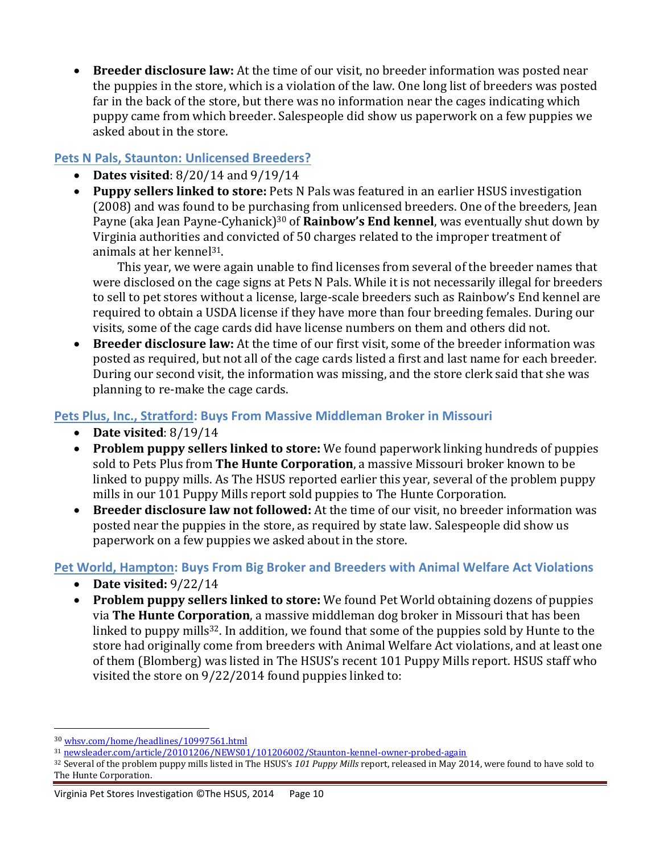**Breeder disclosure law:** At the time of our visit, no breeder information was posted near the puppies in the store, which is a violation of the law. One long list of breeders was posted far in the back of the store, but there was no information near the cages indicating which puppy came from which breeder. Salespeople did show us paperwork on a few puppies we asked about in the store.

#### **Pets N Pals, Staunton: Unlicensed Breeders?**

- **Dates visited**: 8/20/14 and 9/19/14
- **Puppy sellers linked to store:** Pets N Pals was featured in an earlier HSUS investigation (2008) and was found to be purchasing from unlicensed breeders. One of the breeders, Jean Payne (aka Jean Payne-Cyhanick)<sup>30</sup> of **Rainbow's End kennel**, was eventually shut down by Virginia authorities and convicted of 50 charges related to the improper treatment of animals at her kennel31.

This year, we were again unable to find licenses from several of the breeder names that were disclosed on the cage signs at Pets N Pals. While it is not necessarily illegal for breeders to sell to pet stores without a license, large-scale breeders such as Rainbow's End kennel are required to obtain a USDA license if they have more than four breeding females. During our visits, some of the cage cards did have license numbers on them and others did not.

 **Breeder disclosure law:** At the time of our first visit, some of the breeder information was posted as required, but not all of the cage cards listed a first and last name for each breeder. During our second visit, the information was missing, and the store clerk said that she was planning to re-make the cage cards.

#### **Pets Plus, Inc., Stratford: Buys From Massive Middleman Broker in Missouri**

- **Date visited**: 8/19/14
- **Problem puppy sellers linked to store:** We found paperwork linking hundreds of puppies sold to Pets Plus from **The Hunte Corporation**, a massive Missouri broker known to be linked to puppy mills. As The HSUS reported earlier this year, several of the problem puppy mills in our 101 Puppy Mills report sold puppies to The Hunte Corporation.
- **Breeder disclosure law not followed:** At the time of our visit, no breeder information was posted near the puppies in the store, as required by state law. Salespeople did show us paperwork on a few puppies we asked about in the store.

#### **Pet World, Hampton: Buys From Big Broker and Breeders with Animal Welfare Act Violations**

- **Date visited:** 9/22/14
- **Problem puppy sellers linked to store:** We found Pet World obtaining dozens of puppies via **The Hunte Corporation**, a massive middleman dog broker in Missouri that has been linked to puppy mills<sup>32</sup>. In addition, we found that some of the puppies sold by Hunte to the store had originally come from breeders with Animal Welfare Act violations, and at least one of them (Blomberg) was listed in The HSUS's recent 101 Puppy Mills report. HSUS staff who visited the store on 9/22/2014 found puppies linked to:

 $\overline{a}$ 

<sup>30</sup> [whsv.com/home/headlines/10997561.html](http://www.whsv.com/home/headlines/10997561.html)

<sup>31</sup> [newsleader.com/article/20101206/NEWS01/101206002/Staunton-kennel-owner-probed-again](http://www.newsleader.com/article/20101206/NEWS01/101206002/Staunton-kennel-owner-probed-again)

<sup>32</sup> Several of the problem puppy mills listed in The HSUS's *101 Puppy Mills* report, released in May 2014, were found to have sold to The Hunte Corporation.

Virginia Pet Stores Investigation ©The HSUS, 2014 Page 10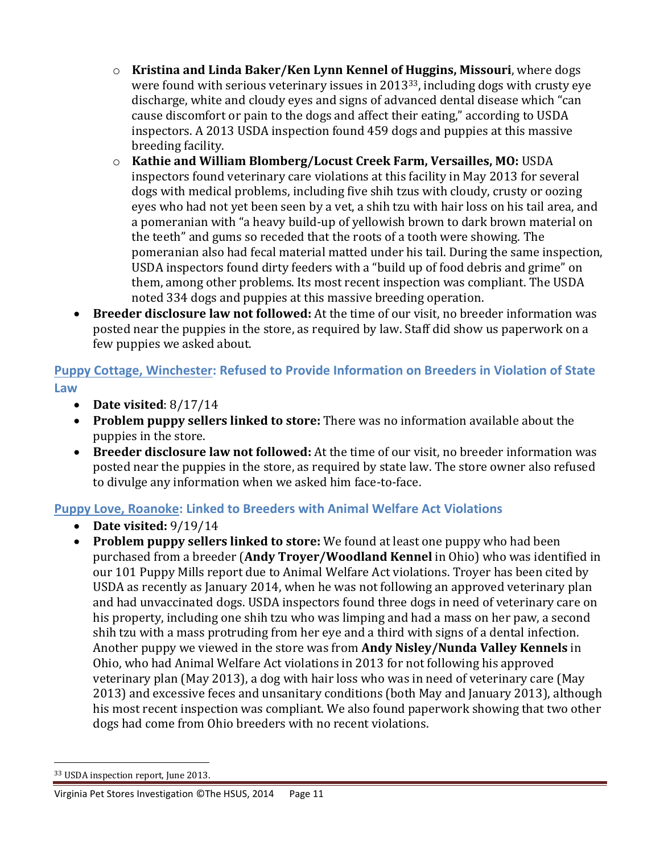- o **Kristina and Linda Baker/Ken Lynn Kennel of Huggins, Missouri**, where dogs were found with serious veterinary issues in 201333, including dogs with crusty eye discharge, white and cloudy eyes and signs of advanced dental disease which "can cause discomfort or pain to the dogs and affect their eating," according to USDA inspectors. A 2013 USDA inspection found 459 dogs and puppies at this massive breeding facility.
- o **Kathie and William Blomberg/Locust Creek Farm, Versailles, MO:** USDA inspectors found veterinary care violations at this facility in May 2013 for several dogs with medical problems, including five shih tzus with cloudy, crusty or oozing eyes who had not yet been seen by a vet, a shih tzu with hair loss on his tail area, and a pomeranian with "a heavy build-up of yellowish brown to dark brown material on the teeth" and gums so receded that the roots of a tooth were showing. The pomeranian also had fecal material matted under his tail. During the same inspection, USDA inspectors found dirty feeders with a "build up of food debris and grime" on them, among other problems. Its most recent inspection was compliant. The USDA noted 334 dogs and puppies at this massive breeding operation.
- **Breeder disclosure law not followed:** At the time of our visit, no breeder information was posted near the puppies in the store, as required by law. Staff did show us paperwork on a few puppies we asked about.

**Puppy Cottage, Winchester: Refused to Provide Information on Breeders in Violation of State Law**

- **Date visited**: 8/17/14
- **Problem puppy sellers linked to store:** There was no information available about the puppies in the store.
- **Breeder disclosure law not followed:** At the time of our visit, no breeder information was posted near the puppies in the store, as required by state law. The store owner also refused to divulge any information when we asked him face-to-face.

#### **Puppy Love, Roanoke: Linked to Breeders with Animal Welfare Act Violations**

- **Date visited:** 9/19/14
- **Problem puppy sellers linked to store:** We found at least one puppy who had been purchased from a breeder (**Andy Troyer/Woodland Kennel** in Ohio) who was identified in our 101 Puppy Mills report due to Animal Welfare Act violations. Troyer has been cited by USDA as recently as January 2014, when he was not following an approved veterinary plan and had unvaccinated dogs. USDA inspectors found three dogs in need of veterinary care on his property, including one shih tzu who was limping and had a mass on her paw, a second shih tzu with a mass protruding from her eye and a third with signs of a dental infection. Another puppy we viewed in the store was from **Andy Nisley/Nunda Valley Kennels** in Ohio, who had Animal Welfare Act violations in 2013 for not following his approved veterinary plan (May 2013), a dog with hair loss who was in need of veterinary care (May 2013) and excessive feces and unsanitary conditions (both May and January 2013), although his most recent inspection was compliant. We also found paperwork showing that two other dogs had come from Ohio breeders with no recent violations.

 $\overline{a}$ 

<sup>33</sup> USDA inspection report, June 2013.

Virginia Pet Stores Investigation ©The HSUS, 2014 Page 11